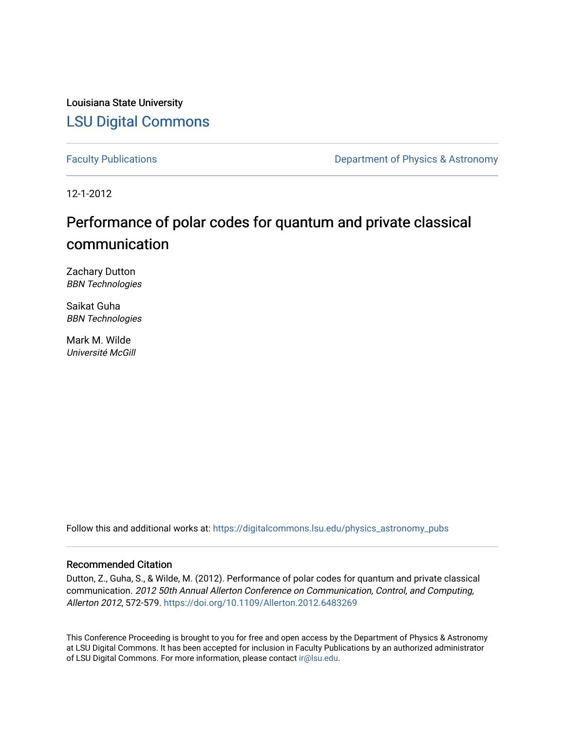Louisiana State University [LSU Digital Commons](https://digitalcommons.lsu.edu/)

[Faculty Publications](https://digitalcommons.lsu.edu/physics_astronomy_pubs) **Exercise 2 and Table 2 and Table 2 and Table 2 and Table 2 and Table 2 and Table 2 and Table 2 and Table 2 and Table 2 and Table 2 and Table 2 and Table 2 and Table 2 and Table 2 and Table 2 and Table** 

12-1-2012

## Performance of polar codes for quantum and private classical communication

Zachary Dutton BBN Technologies

Saikat Guha BBN Technologies

Mark M. Wilde Université McGill

Follow this and additional works at: [https://digitalcommons.lsu.edu/physics\\_astronomy\\_pubs](https://digitalcommons.lsu.edu/physics_astronomy_pubs?utm_source=digitalcommons.lsu.edu%2Fphysics_astronomy_pubs%2F5727&utm_medium=PDF&utm_campaign=PDFCoverPages) 

### Recommended Citation

Dutton, Z., Guha, S., & Wilde, M. (2012). Performance of polar codes for quantum and private classical communication. 2012 50th Annual Allerton Conference on Communication, Control, and Computing, Allerton 2012, 572-579. <https://doi.org/10.1109/Allerton.2012.6483269>

This Conference Proceeding is brought to you for free and open access by the Department of Physics & Astronomy at LSU Digital Commons. It has been accepted for inclusion in Faculty Publications by an authorized administrator of LSU Digital Commons. For more information, please contact [ir@lsu.edu](mailto:ir@lsu.edu).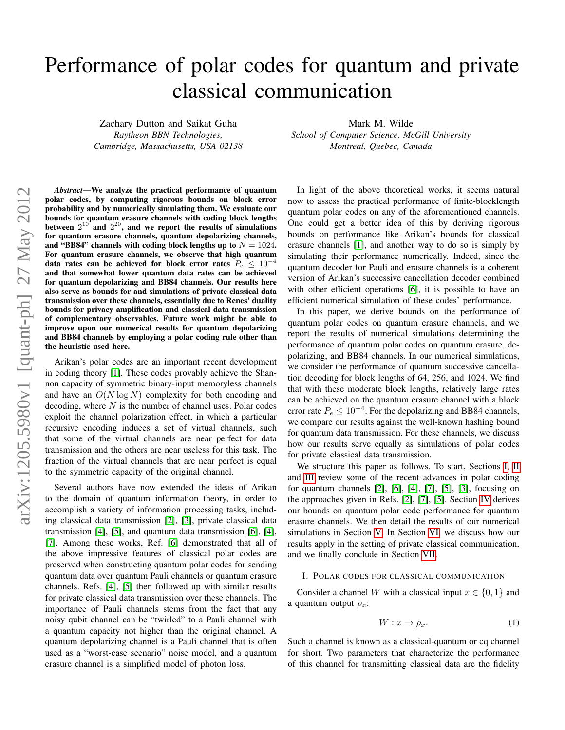# Performance of polar codes for quantum and private classical communication

Zachary Dutton and Saikat Guha *Raytheon BBN Technologies, Cambridge, Massachusetts, USA 02138* Mark M. Wilde

*School of Computer Science, McGill University Montreal, Quebec, Canada*

*Abstract*—We analyze the practical performance of quantum polar codes, by computing rigorous bounds on block error probability and by numerically simulating them. We evaluate our bounds for quantum erasure channels with coding block lengths between  $2^{10}$  and  $2^{20}$ , and we report the results of simulations for quantum erasure channels, quantum depolarizing channels, and "BB84" channels with coding block lengths up to  $N = 1024$ . For quantum erasure channels, we observe that high quantum data rates can be achieved for block error rates  $P_e \leq 10^{-4}$ and that somewhat lower quantum data rates can be achieved for quantum depolarizing and BB84 channels. Our results here also serve as bounds for and simulations of private classical data transmission over these channels, essentially due to Renes' duality bounds for privacy amplification and classical data transmission of complementary observables. Future work might be able to improve upon our numerical results for quantum depolarizing and BB84 channels by employing a polar coding rule other than the heuristic used here.

Arikan's polar codes are an important recent development in coding theory [\[1\]](#page-8-0). These codes provably achieve the Shannon capacity of symmetric binary-input memoryless channels and have an  $O(N \log N)$  complexity for both encoding and decoding, where  $N$  is the number of channel uses. Polar codes exploit the channel polarization effect, in which a particular recursive encoding induces a set of virtual channels, such that some of the virtual channels are near perfect for data transmission and the others are near useless for this task. The fraction of the virtual channels that are near perfect is equal to the symmetric capacity of the original channel.

Several authors have now extended the ideas of Arikan to the domain of quantum information theory, in order to accomplish a variety of information processing tasks, including classical data transmission [\[2\]](#page-8-1), [\[3\]](#page-8-2), private classical data transmission [\[4\]](#page-8-3), [\[5\]](#page-8-4), and quantum data transmission [\[6\]](#page-8-5), [\[4\]](#page-8-3), [\[7\]](#page-8-6). Among these works, Ref. [\[6\]](#page-8-5) demonstrated that all of the above impressive features of classical polar codes are preserved when constructing quantum polar codes for sending quantum data over quantum Pauli channels or quantum erasure channels. Refs. [\[4\]](#page-8-3), [\[5\]](#page-8-4) then followed up with similar results for private classical data transmission over these channels. The importance of Pauli channels stems from the fact that any noisy qubit channel can be "twirled" to a Pauli channel with a quantum capacity not higher than the original channel. A quantum depolarizing channel is a Pauli channel that is often used as a "worst-case scenario" noise model, and a quantum erasure channel is a simplified model of photon loss.

In light of the above theoretical works, it seems natural now to assess the practical performance of finite-blocklength quantum polar codes on any of the aforementioned channels. One could get a better idea of this by deriving rigorous bounds on performance like Arikan's bounds for classical erasure channels [\[1\]](#page-8-0), and another way to do so is simply by simulating their performance numerically. Indeed, since the quantum decoder for Pauli and erasure channels is a coherent version of Arikan's successive cancellation decoder combined with other efficient operations [\[6\]](#page-8-5), it is possible to have an efficient numerical simulation of these codes' performance.

In this paper, we derive bounds on the performance of quantum polar codes on quantum erasure channels, and we report the results of numerical simulations determining the performance of quantum polar codes on quantum erasure, depolarizing, and BB84 channels. In our numerical simulations, we consider the performance of quantum successive cancellation decoding for block lengths of 64, 256, and 1024. We find that with these moderate block lengths, relatively large rates can be achieved on the quantum erasure channel with a block error rate  $P_e \leq 10^{-4}$ . For the depolarizing and BB84 channels, we compare our results against the well-known hashing bound for quantum data transmission. For these channels, we discuss how our results serve equally as simulations of polar codes for private classical data transmission.

We structure this paper as follows. To start, Sections [I,](#page-1-0) [II](#page-2-0) and [III](#page-3-0) review some of the recent advances in polar coding for quantum channels [\[2\]](#page-8-1), [\[6\]](#page-8-5), [\[4\]](#page-8-3), [\[7\]](#page-8-6), [\[5\]](#page-8-4), [\[3\]](#page-8-2), focusing on the approaches given in Refs. [\[2\]](#page-8-1), [\[7\]](#page-8-6), [\[5\]](#page-8-4). Section [IV](#page-4-0) derives our bounds on quantum polar code performance for quantum erasure channels. We then detail the results of our numerical simulations in Section [V.](#page-5-0) In Section [VI,](#page-8-7) we discuss how our results apply in the setting of private classical communication, and we finally conclude in Section [VII.](#page-8-8)

#### <span id="page-1-0"></span>I. POLAR CODES FOR CLASSICAL COMMUNICATION

Consider a channel W with a classical input  $x \in \{0, 1\}$  and a quantum output  $\rho_x$ :

<span id="page-1-1"></span>
$$
W: x \to \rho_x. \tag{1}
$$

Such a channel is known as a classical-quantum or cq channel for short. Two parameters that characterize the performance of this channel for transmitting classical data are the fidelity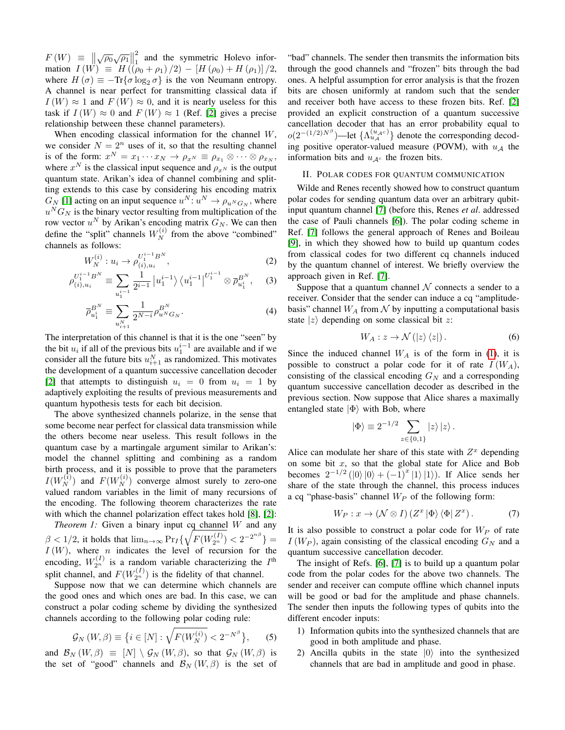$F(W) \equiv \left\| \sqrt{\rho_0} \sqrt{\rho_1} \right\|$ 2  $\frac{2}{1}$  and the symmetric Holevo information  $I(W) \equiv H((\rho_0 + \rho_1)/2) - [H(\rho_0) + H(\rho_1)]/2$ , where  $H(\sigma) \equiv -\text{Tr}\{\sigma \log_2 \sigma\}$  is the von Neumann entropy. A channel is near perfect for transmitting classical data if  $I(W) \approx 1$  and  $F(W) \approx 0$ , and it is nearly useless for this task if  $I(W) \approx 0$  and  $F(W) \approx 1$  (Ref. [\[2\]](#page-8-1) gives a precise relationship between these channel parameters).

When encoding classical information for the channel  $W$ , we consider  $N = 2^n$  uses of it, so that the resulting channel is of the form:  $x^N = x_1 \cdots x_N \rightarrow \rho_{x^N} \equiv \rho_{x_1} \otimes \cdots \otimes \rho_{x_N}$ , where  $x^N$  is the classical input sequence and  $\rho_{x^N}$  is the output quantum state. Arikan's idea of channel combining and splitting extends to this case by considering his encoding matrix  $G_N$  [\[1\]](#page-8-0) acting on an input sequence  $u^N: u^N \to \rho_{u^N G_N}$ , where  $u<sup>N</sup>G<sub>N</sub>$  is the binary vector resulting from multiplication of the row vector  $u^N$  by Arikan's encoding matrix  $G_N$ . We can then define the "split" channels  $W_N^{(i)}$  from the above "combined" channels as follows:

$$
W_N^{(i)}: u_i \to \rho_{(i), u_i}^{U_1^{i-1}B^N},\tag{2}
$$

$$
\rho_{(i),u_i}^{U_1^{i-1}B^N} \equiv \sum_{u_1^{i-1}} \frac{1}{2^{i-1}} \left| u_1^{i-1} \right\rangle \left\langle u_1^{i-1} \right|^{U_1^{i-1}} \otimes \overline{\rho}_{u_1^i}^{B^N}, \quad (3)
$$

$$
\overline{\rho}_{u_1^i}^{B^N} \equiv \sum_{u_{i+1}^N} \frac{1}{2^{N-i}} \rho_{u^N G_N}^{B^N}.
$$
\n(4)

The interpretation of this channel is that it is the one "seen" by the bit  $u_i$  if all of the previous bits  $u_1^{i-1}$  are available and if we consider all the future bits  $u_{i+1}^N$  as randomized. This motivates the development of a quantum successive cancellation decoder [\[2\]](#page-8-1) that attempts to distinguish  $u_i = 0$  from  $u_i = 1$  by adaptively exploiting the results of previous measurements and quantum hypothesis tests for each bit decision.

The above synthesized channels polarize, in the sense that some become near perfect for classical data transmission while the others become near useless. This result follows in the quantum case by a martingale argument similar to Arikan's: model the channel splitting and combining as a random birth process, and it is possible to prove that the parameters  $I(W_N^{(i)})$  and  $F(W_N^{(i)})$  converge almost surely to zero-one valued random variables in the limit of many recursions of the encoding. The following theorem characterizes the rate with which the channel polarization effect takes hold [\[8\]](#page-8-9), [\[2\]](#page-8-1):

*Theorem 1:* Given a binary input cq channel W and any  $\beta < 1/2$ , it holds that  $\lim_{n \to \infty} \Pr_I \{ \sqrt{F(W_{2^n}^{(I)})} < 2^{-2^{n\beta}} \} =$  $I(W)$ , where *n* indicates the level of recursion for the encoding,  $W_{2^n}^{(I)}$  is a random variable characterizing the  $I^{\text{th}}$ split channel, and  $F(W_{2^n}^{(I)})$  is the fidelity of that channel.

Suppose now that we can determine which channels are the good ones and which ones are bad. In this case, we can construct a polar coding scheme by dividing the synthesized channels according to the following polar coding rule:

$$
\mathcal{G}_N\left(W,\beta\right) \equiv \left\{ i \in [N] : \sqrt{F(W_N^{(i)})} < 2^{-N^{\beta}} \right\},\tag{5}
$$

and  $\mathcal{B}_N(W, \beta) \equiv [N] \setminus \mathcal{G}_N(W, \beta)$ , so that  $\mathcal{G}_N(W, \beta)$  is the set of "good" channels and  $\mathcal{B}_N(W,\beta)$  is the set of

"bad" channels. The sender then transmits the information bits through the good channels and "frozen" bits through the bad ones. A helpful assumption for error analysis is that the frozen bits are chosen uniformly at random such that the sender and receiver both have access to these frozen bits. Ref. [\[2\]](#page-8-1) provided an explicit construction of a quantum successive cancellation decoder that has an error probability equal to  $o(2^{-(1/2)N^{\beta}})$ —let  $\{\Lambda_{u_{\mathcal{A}}}^{(u_{\mathcal{A}}c)}\}$  denote the corresponding decoding positive operator-valued measure (POVM), with  $u_A$  the information bits and  $u_{A<sup>c</sup>}$  the frozen bits.

#### <span id="page-2-0"></span>II. POLAR CODES FOR QUANTUM COMMUNICATION

Wilde and Renes recently showed how to construct quantum polar codes for sending quantum data over an arbitrary qubitinput quantum channel [\[7\]](#page-8-6) (before this, Renes *et al*. addressed the case of Pauli channels [\[6\]](#page-8-5)). The polar coding scheme in Ref. [\[7\]](#page-8-6) follows the general approach of Renes and Boileau [\[9\]](#page-8-10), in which they showed how to build up quantum codes from classical codes for two different cq channels induced by the quantum channel of interest. We briefly overview the approach given in Ref. [\[7\]](#page-8-6).

Suppose that a quantum channel  $\mathcal N$  connects a sender to a receiver. Consider that the sender can induce a cq "amplitudebasis" channel  $W_A$  from  $\mathcal N$  by inputting a computational basis state  $|z\rangle$  depending on some classical bit z:

<span id="page-2-2"></span>
$$
W_A: z \to \mathcal{N}(|z\rangle\langle z|). \tag{6}
$$

Since the induced channel  $W_A$  is of the form in [\(1\)](#page-1-1), it is possible to construct a polar code for it of rate  $I(W_A)$ , consisting of the classical encoding  $G_N$  and a corresponding quantum successive cancellation decoder as described in the previous section. Now suppose that Alice shares a maximally entangled state  $|\Phi\rangle$  with Bob, where

$$
|\Phi\rangle \equiv 2^{-1/2} \sum_{z \in \{0,1\}} |z\rangle |z\rangle.
$$

Alice can modulate her share of this state with  $Z<sup>x</sup>$  depending on some bit  $x$ , so that the global state for Alice and Bob becomes  $2^{-1/2}$  ( $\ket{0}\ket{0} + (-1)^{x}\ket{1}\ket{1}$ ). If Alice sends her share of the state through the channel, this process induces a cq "phase-basis" channel  $W_P$  of the following form:

<span id="page-2-1"></span>
$$
W_P: x \to (\mathcal{N} \otimes I) (Z^x | \Phi \rangle \langle \Phi | Z^x).
$$
 (7)

It is also possible to construct a polar code for  $W_P$  of rate  $I(W_P)$ , again consisting of the classical encoding  $G_N$  and a quantum successive cancellation decoder.

The insight of Refs. [\[6\]](#page-8-5), [\[7\]](#page-8-6) is to build up a quantum polar code from the polar codes for the above two channels. The sender and receiver can compute offline which channel inputs will be good or bad for the amplitude and phase channels. The sender then inputs the following types of qubits into the different encoder inputs:

- 1) Information qubits into the synthesized channels that are good in both amplitude and phase.
- 2) Ancilla qubits in the state  $|0\rangle$  into the synthesized channels that are bad in amplitude and good in phase.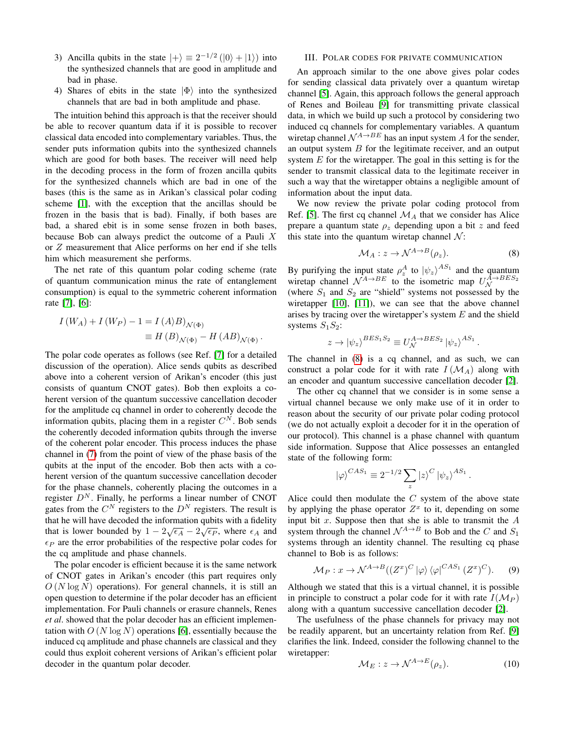- 3) Ancilla qubits in the state  $|+\rangle \equiv 2^{-1/2} (|0\rangle + |1\rangle)$  into the synthesized channels that are good in amplitude and bad in phase.
- 4) Shares of ebits in the state  $|\Phi\rangle$  into the synthesized channels that are bad in both amplitude and phase.

The intuition behind this approach is that the receiver should be able to recover quantum data if it is possible to recover classical data encoded into complementary variables. Thus, the sender puts information qubits into the synthesized channels which are good for both bases. The receiver will need help in the decoding process in the form of frozen ancilla qubits for the synthesized channels which are bad in one of the bases (this is the same as in Arikan's classical polar coding scheme [\[1\]](#page-8-0), with the exception that the ancillas should be frozen in the basis that is bad). Finally, if both bases are bad, a shared ebit is in some sense frozen in both bases, because Bob can always predict the outcome of a Pauli  $X$ or Z measurement that Alice performs on her end if she tells him which measurement she performs.

The net rate of this quantum polar coding scheme (rate of quantum communication minus the rate of entanglement consumption) is equal to the symmetric coherent information rate [\[7\]](#page-8-6), [\[6\]](#page-8-5):

$$
I(W_A) + I(W_P) - 1 = I(A \rangle B)_{\mathcal{N}(\Phi)}
$$
  
\n
$$
\equiv H(B)_{\mathcal{N}(\Phi)} - H(AB)_{\mathcal{N}(\Phi)}.
$$

The polar code operates as follows (see Ref. [\[7\]](#page-8-6) for a detailed discussion of the operation). Alice sends qubits as described above into a coherent version of Arikan's encoder (this just consists of quantum CNOT gates). Bob then exploits a coherent version of the quantum successive cancellation decoder for the amplitude cq channel in order to coherently decode the information qubits, placing them in a register  $C^N$ . Bob sends the coherently decoded information qubits through the inverse of the coherent polar encoder. This process induces the phase channel in [\(7\)](#page-2-1) from the point of view of the phase basis of the qubits at the input of the encoder. Bob then acts with a coherent version of the quantum successive cancellation decoder for the phase channels, coherently placing the outcomes in a register  $D<sup>N</sup>$ . Finally, he performs a linear number of CNOT gates from the  $C^N$  registers to the  $D^N$  registers. The result is that he will have decoded the information qubits with a fidelity that is lower bounded by  $1 - 2\sqrt{\epsilon_A} - 2\sqrt{\epsilon_P}$ , where  $\epsilon_A$  and  $\epsilon_P$  are the error probabilities of the respective polar codes for the cq amplitude and phase channels.

The polar encoder is efficient because it is the same network of CNOT gates in Arikan's encoder (this part requires only  $O(N \log N)$  operations). For general channels, it is still an open question to determine if the polar decoder has an efficient implementation. For Pauli channels or erasure channels, Renes *et al*. showed that the polar decoder has an efficient implementation with  $O(N \log N)$  operations [\[6\]](#page-8-5), essentially because the induced cq amplitude and phase channels are classical and they could thus exploit coherent versions of Arikan's efficient polar decoder in the quantum polar decoder.

#### <span id="page-3-0"></span>III. POLAR CODES FOR PRIVATE COMMUNICATION

An approach similar to the one above gives polar codes for sending classical data privately over a quantum wiretap channel [\[5\]](#page-8-4). Again, this approach follows the general approach of Renes and Boileau [\[9\]](#page-8-10) for transmitting private classical data, in which we build up such a protocol by considering two induced cq channels for complementary variables. A quantum wiretap channel  $\mathcal{N}^{A\to BE}$  has an input system A for the sender, an output system  $B$  for the legitimate receiver, and an output system  $E$  for the wiretapper. The goal in this setting is for the sender to transmit classical data to the legitimate receiver in such a way that the wiretapper obtains a negligible amount of information about the input data.

We now review the private polar coding protocol from Ref. [\[5\]](#page-8-4). The first cq channel  $\mathcal{M}_A$  that we consider has Alice prepare a quantum state  $\rho_z$  depending upon a bit z and feed this state into the quantum wiretap channel  $\mathcal{N}$ :

<span id="page-3-1"></span>
$$
\mathcal{M}_A: z \to \mathcal{N}^{A \to B}(\rho_z). \tag{8}
$$

By purifying the input state  $\rho_2^A$  to  $|\psi_z\rangle^{AS_1}$  and the quantum wiretap channel  $\mathcal{N}^{A\to BE}$  to the isometric map  $U_{\mathcal{N}}^{A\to BES_2}$ (where  $S_1$  and  $S_2$  are "shield" systems not possessed by the wiretapper [\[10\]](#page-8-11), [\[11\]](#page-8-12)), we can see that the above channel arises by tracing over the wiretapper's system  $E$  and the shield systems  $S_1S_2$ :

$$
z \to |\psi_z\rangle^{BES_1S_2} \equiv U_{\mathcal{N}}^{A \to BES_2} |\psi_z\rangle^{AS_1}.
$$

The channel in [\(8\)](#page-3-1) is a cq channel, and as such, we can construct a polar code for it with rate  $I(M_A)$  along with an encoder and quantum successive cancellation decoder [\[2\]](#page-8-1).

The other cq channel that we consider is in some sense a virtual channel because we only make use of it in order to reason about the security of our private polar coding protocol (we do not actually exploit a decoder for it in the operation of our protocol). This channel is a phase channel with quantum side information. Suppose that Alice possesses an entangled state of the following form:

$$
|\varphi\rangle^{CAS_1}\equiv 2^{-1/2}\sum_z|z\rangle^C\left|\psi_z\right\rangle^{AS_1}.
$$

Alice could then modulate the  $C$  system of the above state by applying the phase operator  $Z^x$  to it, depending on some input bit  $x$ . Suppose then that she is able to transmit the  $A$ system through the channel  $\mathcal{N}^{A\to B}$  to Bob and the C and  $S_1$ systems through an identity channel. The resulting cq phase channel to Bob is as follows:

<span id="page-3-2"></span>
$$
\mathcal{M}_P: x \to \mathcal{N}^{A \to B}((Z^x)^C \ket{\varphi} \bra{\varphi}^{CAS_1} (Z^x)^C). \tag{9}
$$

Although we stated that this is a virtual channel, it is possible in principle to construct a polar code for it with rate  $I(\mathcal{M}_P)$ along with a quantum successive cancellation decoder [\[2\]](#page-8-1).

The usefulness of the phase channels for privacy may not be readily apparent, but an uncertainty relation from Ref. [\[9\]](#page-8-10) clarifies the link. Indeed, consider the following channel to the wiretapper:

$$
\mathcal{M}_E: z \to \mathcal{N}^{A \to E}(\rho_z). \tag{10}
$$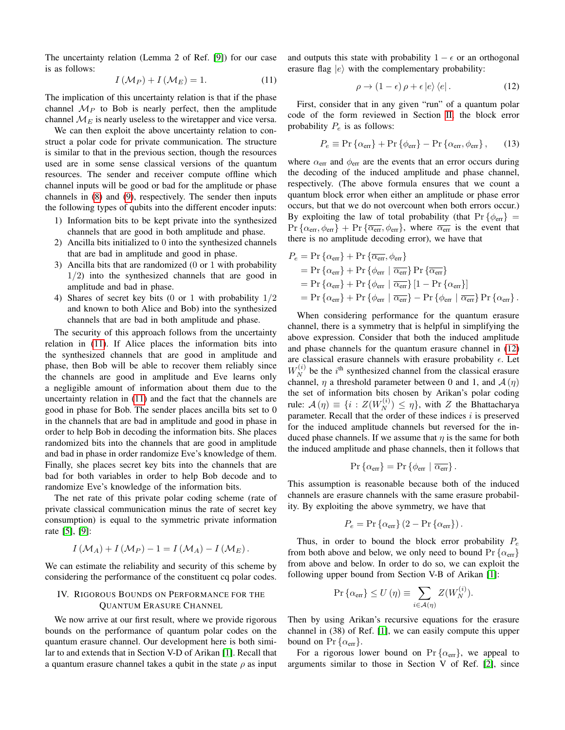The uncertainty relation (Lemma 2 of Ref. [\[9\]](#page-8-10)) for our case is as follows:

<span id="page-4-1"></span>
$$
I(\mathcal{M}_P) + I(\mathcal{M}_E) = 1.
$$
 (11)

The implication of this uncertainty relation is that if the phase channel  $M_P$  to Bob is nearly perfect, then the amplitude channel  $\mathcal{M}_E$  is nearly useless to the wiretapper and vice versa.

We can then exploit the above uncertainty relation to construct a polar code for private communication. The structure is similar to that in the previous section, though the resources used are in some sense classical versions of the quantum resources. The sender and receiver compute offline which channel inputs will be good or bad for the amplitude or phase channels in [\(8\)](#page-3-1) and [\(9\)](#page-3-2), respectively. The sender then inputs the following types of qubits into the different encoder inputs:

- 1) Information bits to be kept private into the synthesized channels that are good in both amplitude and phase.
- 2) Ancilla bits initialized to 0 into the synthesized channels that are bad in amplitude and good in phase.
- 3) Ancilla bits that are randomized (0 or 1 with probability  $1/2$ ) into the synthesized channels that are good in amplitude and bad in phase.
- 4) Shares of secret key bits (0 or 1 with probability 1/2 and known to both Alice and Bob) into the synthesized channels that are bad in both amplitude and phase.

The security of this approach follows from the uncertainty relation in [\(11\)](#page-4-1). If Alice places the information bits into the synthesized channels that are good in amplitude and phase, then Bob will be able to recover them reliably since the channels are good in amplitude and Eve learns only a negligible amount of information about them due to the uncertainty relation in [\(11\)](#page-4-1) and the fact that the channels are good in phase for Bob. The sender places ancilla bits set to 0 in the channels that are bad in amplitude and good in phase in order to help Bob in decoding the information bits. She places randomized bits into the channels that are good in amplitude and bad in phase in order randomize Eve's knowledge of them. Finally, she places secret key bits into the channels that are bad for both variables in order to help Bob decode and to randomize Eve's knowledge of the information bits.

The net rate of this private polar coding scheme (rate of private classical communication minus the rate of secret key consumption) is equal to the symmetric private information rate [\[5\]](#page-8-4), [\[9\]](#page-8-10):

$$
I(\mathcal{M}_A) + I(\mathcal{M}_P) - 1 = I(\mathcal{M}_A) - I(\mathcal{M}_E).
$$

We can estimate the reliability and security of this scheme by considering the performance of the constituent cq polar codes.

#### <span id="page-4-0"></span>IV. RIGOROUS BOUNDS ON PERFORMANCE FOR THE QUANTUM ERASURE CHANNEL

We now arrive at our first result, where we provide rigorous bounds on the performance of quantum polar codes on the quantum erasure channel. Our development here is both similar to and extends that in Section V-D of Arikan [\[1\]](#page-8-0). Recall that a quantum erasure channel takes a qubit in the state  $\rho$  as input and outputs this state with probability  $1 - \epsilon$  or an orthogonal erasure flag  $|e\rangle$  with the complementary probability:

<span id="page-4-2"></span>
$$
\rho \to (1 - \epsilon) \rho + \epsilon \left| e \right\rangle \left\langle e \right|.
$$
 (12)

First, consider that in any given "run" of a quantum polar code of the form reviewed in Section [II,](#page-2-0) the block error probability  $P_e$  is as follows:

<span id="page-4-3"></span>
$$
P_e \equiv \Pr\left\{\alpha_{\text{err}}\right\} + \Pr\left\{\phi_{\text{err}}\right\} - \Pr\left\{\alpha_{\text{err}}, \phi_{\text{err}}\right\},\qquad(13)
$$

where  $\alpha_{\text{err}}$  and  $\phi_{\text{err}}$  are the events that an error occurs during the decoding of the induced amplitude and phase channel, respectively. (The above formula ensures that we count a quantum block error when either an amplitude or phase error occurs, but that we do not overcount when both errors occur.) By exploiting the law of total probability (that  $Pr\{\phi_{err}\}$  =  $Pr\{\alpha_{err}, \phi_{err}\} + Pr\{\overline{\alpha_{err}}, \phi_{err}\}$ , where  $\overline{\alpha_{err}}$  is the event that there is no amplitude decoding error), we have that

$$
P_e = \Pr \{ \alpha_{\text{err}} \} + \Pr \{ \overline{\alpha_{\text{err}}}, \phi_{\text{err}} \}
$$
  
= 
$$
\Pr \{ \alpha_{\text{err}} \} + \Pr \{ \phi_{\text{err}} \mid \overline{\alpha_{\text{err}}} \} \Pr \{ \overline{\alpha_{\text{err}}} \}
$$
  
= 
$$
\Pr \{ \alpha_{\text{err}} \} + \Pr \{ \phi_{\text{err}} \mid \overline{\alpha_{\text{err}}} \} [1 - \Pr \{ \alpha_{\text{err}} \}]
$$
  
= 
$$
\Pr \{ \alpha_{\text{err}} \} + \Pr \{ \phi_{\text{err}} \mid \overline{\alpha_{\text{err}}} \} - \Pr \{ \phi_{\text{err}} \mid \overline{\alpha_{\text{err}}} \} \Pr \{ \alpha_{\text{err}} \}.
$$

When considering performance for the quantum erasure channel, there is a symmetry that is helpful in simplifying the above expression. Consider that both the induced amplitude and phase channels for the quantum erasure channel in [\(12\)](#page-4-2) are classical erasure channels with erasure probability  $\epsilon$ . Let  $W_N^{(i)}$  be the i<sup>th</sup> synthesized channel from the classical erasure channel,  $\eta$  a threshold parameter between 0 and 1, and  $\mathcal{A}(\eta)$ the set of information bits chosen by Arikan's polar coding rule:  $\mathcal{A}(\eta) \equiv \{i : Z(W_N^{(i)}) \leq \eta\}$ , with Z the Bhattacharya parameter. Recall that the order of these indices  $i$  is preserved for the induced amplitude channels but reversed for the induced phase channels. If we assume that  $\eta$  is the same for both the induced amplitude and phase channels, then it follows that

$$
\Pr\left\{\alpha_{\text{err}}\right\} = \Pr\left\{\phi_{\text{err}} \mid \overline{\alpha_{\text{err}}}\right\}.
$$

This assumption is reasonable because both of the induced channels are erasure channels with the same erasure probability. By exploiting the above symmetry, we have that

$$
P_e = \Pr \{ \alpha_{\rm err} \} (2 - \Pr \{ \alpha_{\rm err} \}).
$$

Thus, in order to bound the block error probability  $P_e$ from both above and below, we only need to bound  $Pr\{\alpha_{err}\}\$ from above and below. In order to do so, we can exploit the following upper bound from Section V-B of Arikan [\[1\]](#page-8-0):

$$
\Pr\left\{\alpha_{\text{err}}\right\} \le U\left(\eta\right) \equiv \sum_{i \in \mathcal{A}(\eta)} Z(W_N^{(i)}).
$$

Then by using Arikan's recursive equations for the erasure channel in (38) of Ref. [\[1\]](#page-8-0), we can easily compute this upper bound on  $Pr {\alpha_{err}}$ .

For a rigorous lower bound on  $Pr{\alpha_{err}}$ , we appeal to arguments similar to those in Section V of Ref. [\[2\]](#page-8-1), since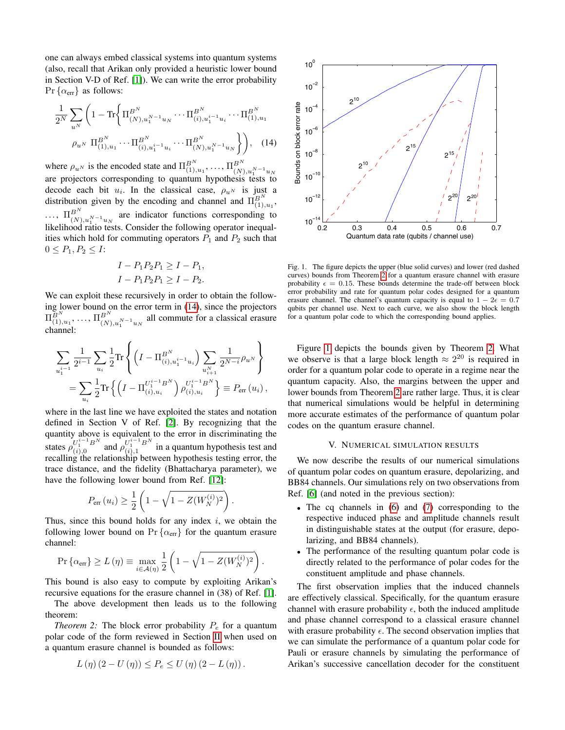one can always embed classical systems into quantum systems (also, recall that Arikan only provided a heuristic lower bound in Section V-D of Ref. [\[1\]](#page-8-0)). We can write the error probability  $Pr\{\alpha_{err}\}\$ as follows:

1 2<sup>N</sup> X u<sup>N</sup> <sup>1</sup> <sup>−</sup> Tr Π B<sup>N</sup> (N),u N−1 <sup>1</sup> u<sup>N</sup> · · · Π B<sup>N</sup> (i),u i−1 <sup>1</sup> u<sup>i</sup> · · · Π B<sup>N</sup> (1),u<sup>1</sup> ρu<sup>N</sup> Π B<sup>N</sup> (1),u<sup>1</sup> · · · Π B<sup>N</sup> (i),u i−1 <sup>1</sup> u<sup>i</sup> · · · Π B<sup>N</sup> (N),u N−1 <sup>1</sup> u<sup>N</sup> , (14)

where  $\rho_{u^N}$  is the encoded state and  $\Pi_{(1),u_1}^{B^N}, \ldots, \Pi_{(N),u_1^{N-1}u_N}^{B^N}$ <br>are projectors corresponding to quantum hypothesis tests to decode each bit  $u_i$ . In the classical case,  $\rho_{u^N}$  is just a distribution given by the encoding and channel and  $\Pi_{(1),u_1}^{B^N}$ ,  $\ldots$ ,  $\Pi_{(N),u_1^{N-1}u_N}^{B^N}$  are indicator functions corresponding to likelihood ratio tests. Consider the following operator inequalities which hold for commuting operators  $P_1$  and  $P_2$  such that  $0 \leq P_1, P_2 \leq I$ :

$$
I - P_1 P_2 P_1 \ge I - P_1,
$$
  

$$
I - P_1 P_2 P_1 \ge I - P_2.
$$

We can exploit these recursively in order to obtain the following lower bound on the error term in [\(14\)](#page-5-1), since the projectors  $\Pi_{(1),u_1}^{B^N}, \ldots, \Pi_{(N),u_1^{N-1}u_N}^{B^N}$  all commute for a classical erasure channel:

$$
\sum_{u_1^{i-1}} \frac{1}{2^{i-1}} \sum_{u_i} \frac{1}{2} \text{Tr} \left\{ \left( I - \Pi_{(i), u_1^{i-1} u_i}^{B^N} \right) \sum_{u_{i+1}^N} \frac{1}{2^{N-i}} \rho_{u^N} \right\} \n= \sum_{u_i} \frac{1}{2} \text{Tr} \left\{ \left( I - \Pi_{(i), u_i}^{U_1^{i-1} B^N} \right) \rho_{(i), u_i}^{U_1^{i-1} B^N} \right\} \equiv P_{\text{err}} \left( u_i \right),
$$

where in the last line we have exploited the states and notation defined in Section V of Ref. [\[2\]](#page-8-1). By recognizing that the quantity above is equivalent to the error in discriminating the states  $\rho_{(i),0}^{U_1^{i-1}B^N}$  and  $\rho_{(i),1}^{U_1^{i-1}B^N}$  in a quantum hypothesis test and recalling the relationship between hypothesis testing error, the trace distance, and the fidelity (Bhattacharya parameter), we have the following lower bound from Ref. [\[12\]](#page-8-13):

$$
P_{\text{err}}(u_i) \ge \frac{1}{2} \left( 1 - \sqrt{1 - Z(W_N^{(i)})^2} \right).
$$

Thus, since this bound holds for any index  $i$ , we obtain the following lower bound on  $Pr\{\alpha_{err}\}\$ for the quantum erasure channel:

$$
\Pr\left\{\alpha_{\text{err}}\right\} \ge L\left(\eta\right) \equiv \max_{i \in \mathcal{A}\left(\eta\right)} \frac{1}{2} \left(1 - \sqrt{1 - Z(W_N^{(i)})^2}\right).
$$

This bound is also easy to compute by exploiting Arikan's recursive equations for the erasure channel in (38) of Ref. [\[1\]](#page-8-0).

The above development then leads us to the following theorem:

<span id="page-5-2"></span>*Theorem 2:* The block error probability  $P_e$  for a quantum polar code of the form reviewed in Section [II](#page-2-0) when used on a quantum erasure channel is bounded as follows:

$$
L(\eta) (2 - U(\eta)) \le P_e \le U(\eta) (2 - L(\eta)).
$$

<span id="page-5-1"></span>

<span id="page-5-3"></span>Fig. 1. The figure depicts the upper (blue solid curves) and lower (red dashed curves) bounds from Theorem [2](#page-5-2) for a quantum erasure channel with erasure probability  $\epsilon = 0.15$ . These bounds determine the trade-off between block error probability and rate for quantum polar codes designed for a quantum erasure channel. The channel's quantum capacity is equal to  $1 - 2\epsilon = 0.7$ qubits per channel use. Next to each curve, we also show the block length for a quantum polar code to which the corresponding bound applies.

Figure [1](#page-5-3) depicts the bounds given by Theorem [2.](#page-5-2) What we observe is that a large block length  $\approx 2^{20}$  is required in order for a quantum polar code to operate in a regime near the quantum capacity. Also, the margins between the upper and lower bounds from Theorem [2](#page-5-2) are rather large. Thus, it is clear that numerical simulations would be helpful in determining more accurate estimates of the performance of quantum polar codes on the quantum erasure channel.

#### V. NUMERICAL SIMULATION RESULTS

<span id="page-5-0"></span>We now describe the results of our numerical simulations of quantum polar codes on quantum erasure, depolarizing, and BB84 channels. Our simulations rely on two observations from Ref. [\[6\]](#page-8-5) (and noted in the previous section):

- The cq channels in [\(6\)](#page-2-2) and [\(7\)](#page-2-1) corresponding to the respective induced phase and amplitude channels result in distinguishable states at the output (for erasure, depolarizing, and BB84 channels).
- The performance of the resulting quantum polar code is directly related to the performance of polar codes for the constituent amplitude and phase channels.

The first observation implies that the induced channels are effectively classical. Specifically, for the quantum erasure channel with erasure probability  $\epsilon$ , both the induced amplitude and phase channel correspond to a classical erasure channel with erasure probability  $\epsilon$ . The second observation implies that we can simulate the performance of a quantum polar code for Pauli or erasure channels by simulating the performance of Arikan's successive cancellation decoder for the constituent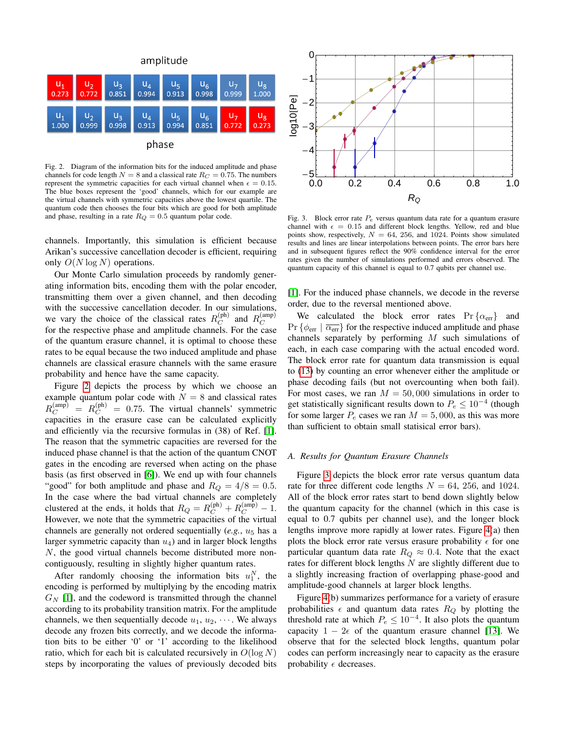

<span id="page-6-0"></span>Fig. 2. Diagram of the information bits for the induced amplitude and phase channels for code length  $N = 8$  and a classical rate  $R_C = 0.75$ . The numbers represent the symmetric capacities for each virtual channel when  $\epsilon = 0.15$ . The blue boxes represent the 'good' channels, which for our example are the virtual channels with symmetric capacities above the lowest quartile. The quantum code then chooses the four bits which are good for both amplitude and phase, resulting in a rate  $R_Q = 0.5$  quantum polar code.

channels. Importantly, this simulation is efficient because Arikan's successive cancellation decoder is efficient, requiring only  $O(N \log N)$  operations.

Our Monte Carlo simulation proceeds by randomly generating information bits, encoding them with the polar encoder, transmitting them over a given channel, and then decoding with the successive cancellation decoder. In our simulations, we vary the choice of the classical rates  $R_C^{(\text{ph})}$  and  $R_C^{(\text{amp})}$ for the respective phase and amplitude channels. For the case of the quantum erasure channel, it is optimal to choose these rates to be equal because the two induced amplitude and phase channels are classical erasure channels with the same erasure probability and hence have the same capacity.

Figure [2](#page-6-0) depicts the process by which we choose an example quantum polar code with  $N = 8$  and classical rates  $R_C^{\text{(amp)}} = R_C^{\text{(ph)}} = 0.75$ . The virtual channels' symmetric capacities in the erasure case can be calculated explicitly and efficiently via the recursive formulas in (38) of Ref. [\[1\]](#page-8-0). The reason that the symmetric capacities are reversed for the induced phase channel is that the action of the quantum CNOT gates in the encoding are reversed when acting on the phase basis (as first observed in [\[6\]](#page-8-5)). We end up with four channels "good" for both amplitude and phase and  $R_Q = 4/8 = 0.5$ . In the case where the bad virtual channels are completely clustered at the ends, it holds that  $R_Q = R_C^{\text{(ph)}} + R_C^{\text{(amp)}} - 1$ . However, we note that the symmetric capacities of the virtual channels are generally not ordered sequentially  $(e.g., u<sub>5</sub>)$  has a larger symmetric capacity than  $u_4$ ) and in larger block lengths N, the good virtual channels become distributed more noncontiguously, resulting in slightly higher quantum rates.

After randomly choosing the information bits  $u_1^N$ , the encoding is performed by multiplying by the encoding matrix  $G_N$  [\[1\]](#page-8-0), and the codeword is transmitted through the channel according to its probability transition matrix. For the amplitude channels, we then sequentially decode  $u_1, u_2, \cdots$ . We always decode any frozen bits correctly, and we decode the information bits to be either '0' or '1' according to the likelihood ratio, which for each bit is calculated recursively in  $O(\log N)$ steps by incorporating the values of previously decoded bits



<span id="page-6-1"></span>Fig. 3. Block error rate  $P_e$  versus quantum data rate for a quantum erasure channel with  $\epsilon = 0.15$  and different block lengths. Yellow, red and blue points show, respectively,  $N = 64$ , 256, and 1024. Points show simulated results and lines are linear interpolations between points. The error bars here and in subsequent figures reflect the 90% confidence interval for the error rates given the number of simulations performed and errors observed. The quantum capacity of this channel is equal to 0.7 qubits per channel use.

[\[1\]](#page-8-0). For the induced phase channels, we decode in the reverse order, due to the reversal mentioned above.

We calculated the block error rates  $Pr\{\alpha_{err}\}\$  and  $Pr \{\phi_{err} | \overline{\alpha_{err}}\}$  for the respective induced amplitude and phase channels separately by performing  $M$  such simulations of each, in each case comparing with the actual encoded word. The block error rate for quantum data transmission is equal to [\(13\)](#page-4-3) by counting an error whenever either the amplitude or phase decoding fails (but not overcounting when both fail). For most cases, we ran  $M = 50,000$  simulations in order to get statistically significant results down to  $P_e \leq 10^{-4}$  (though for some larger  $P_e$  cases we ran  $M = 5,000$ , as this was more than sufficient to obtain small statisical error bars).

#### *A. Results for Quantum Erasure Channels*

Figure [3](#page-6-1) depicts the block error rate versus quantum data rate for three different code lengths  $N = 64$ , 256, and 1024. All of the block error rates start to bend down slightly below the quantum capacity for the channel (which in this case is equal to 0.7 qubits per channel use), and the longer block lengths improve more rapidly at lower rates. Figure [4\(](#page-7-0)a) then plots the block error rate versus erasure probability  $\epsilon$  for one particular quantum data rate  $R_Q \approx 0.4$ . Note that the exact rates for different block lengths  $N$  are slightly different due to a slightly increasing fraction of overlapping phase-good and amplitude-good channels at larger block lengths.

Figure [4\(](#page-7-0)b) summarizes performance for a variety of erasure probabilities  $\epsilon$  and quantum data rates  $R_Q$  by plotting the threshold rate at which  $P_e \leq 10^{-4}$ . It also plots the quantum capacity  $1 - 2\epsilon$  of the quantum erasure channel [\[13\]](#page-8-14). We observe that for the selected block lengths, quantum polar codes can perform increasingly near to capacity as the erasure probability  $\epsilon$  decreases.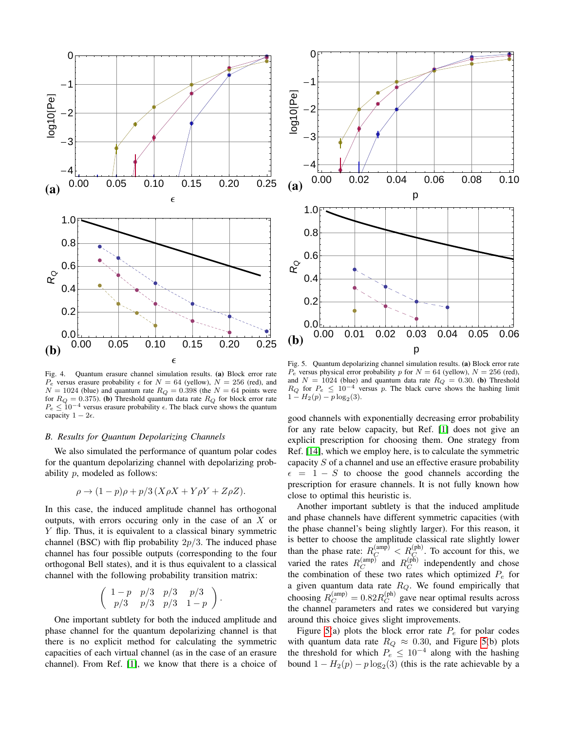

<span id="page-7-0"></span>Fig. 4. Quantum erasure channel simulation results. (a) Block error rate  $P_e$  versus erasure probability  $\epsilon$  for  $N = 64$  (yellow),  $N = 256$  (red), and  $N = 1024$  (blue) and quantum rate  $R_Q = 0.398$  (the  $N = 64$  points were for  $R_Q = 0.375$ . (b) Threshold quantum data rate  $R_Q$  for block error rate  $P_e \leq 10^{-4}$  versus erasure probability  $\epsilon$ . The black curve shows the quantum capacity  $1 - 2\epsilon$ .

#### *B. Results for Quantum Depolarizing Channels*

We also simulated the performance of quantum polar codes for the quantum depolarizing channel with depolarizing probability p, modeled as follows:

$$
\rho \to (1 - p)\rho + p/3(X\rho X + Y\rho Y + Z\rho Z).
$$

In this case, the induced amplitude channel has orthogonal outputs, with errors occuring only in the case of an  $X$  or Y flip. Thus, it is equivalent to a classical binary symmetric channel (BSC) with flip probability  $2p/3$ . The induced phase channel has four possible outputs (corresponding to the four orthogonal Bell states), and it is thus equivalent to a classical channel with the following probability transition matrix:

$$
\left(\begin{array}{ccc} 1-p & p/3 & p/3 & p/3 \\ p/3 & p/3 & p/3 & 1-p \end{array}\right).
$$

One important subtlety for both the induced amplitude and phase channel for the quantum depolarizing channel is that there is no explicit method for calculating the symmetric capacities of each virtual channel (as in the case of an erasure channel). From Ref. [\[1\]](#page-8-0), we know that there is a choice of



<span id="page-7-1"></span>Fig. 5. Quantum depolarizing channel simulation results. (a) Block error rate  $P_e$  versus physical error probability p for  $N = 64$  (yellow),  $N = 256$  (red), and  $N = 1024$  (blue) and quantum data rate  $R_Q = 0.30$ . (b) Threshold  $R_Q$  for  $P_e \leq 10^{-4}$  versus p. The black curve shows the hashing limit  $1 - H_2(p) - p \log_2(3)$ .

good channels with exponentially decreasing error probability for any rate below capacity, but Ref. [\[1\]](#page-8-0) does not give an explicit prescription for choosing them. One strategy from Ref. [\[14\]](#page-8-15), which we employ here, is to calculate the symmetric capacity S of a channel and use an effective erasure probability  $\epsilon = 1 - S$  to choose the good channels according the prescription for erasure channels. It is not fully known how close to optimal this heuristic is.

Another important subtlety is that the induced amplitude and phase channels have different symmetric capacities (with the phase channel's being slightly larger). For this reason, it is better to choose the amplitude classical rate slightly lower than the phase rate:  $R_C^{(\text{amp})} < R_C^{(\text{ph})}$ . To account for this, we varied the rates  $R_C^{\text{(amp)}}$  and  $R_C^{\text{(ph)}}$  independently and chose the combination of these two rates which optimized  $P_e$  for a given quantum data rate  $R_Q$ . We found empirically that choosing  $R_C^{\text{(amp)}} = 0.82 R_C^{\text{(ph)}}$  gave near optimal results across the channel parameters and rates we considered but varying around this choice gives slight improvements.

Figure [5\(](#page-7-1)a) plots the block error rate  $P_e$  for polar codes with quantum data rate  $R_Q \approx 0.30$ , and Figure [5\(](#page-7-1)b) plots the threshold for which  $P_e \leq 10^{-4}$  along with the hashing bound  $1 - H_2(p) - p \log_2(3)$  (this is the rate achievable by a